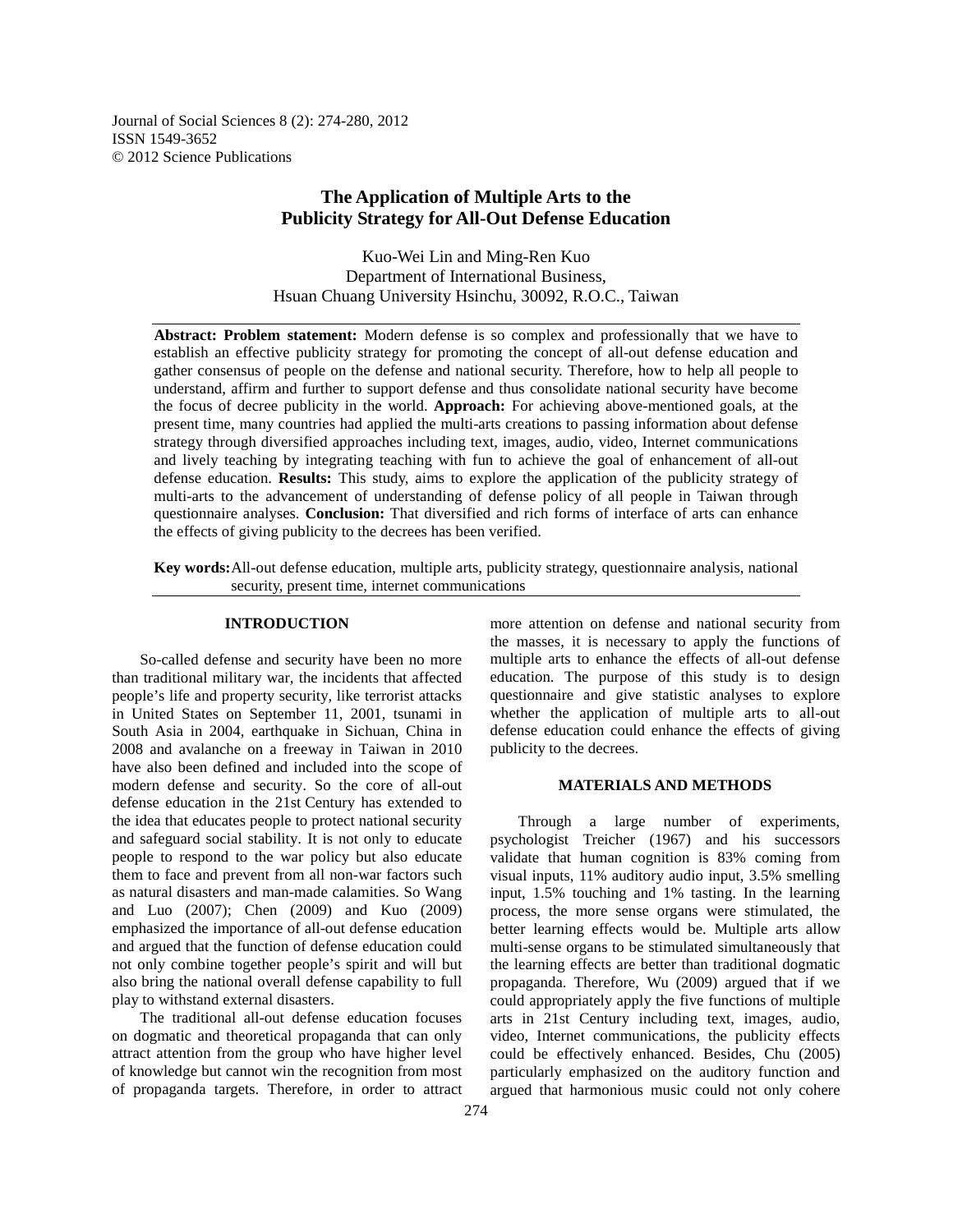Journal of Social Sciences 8 (2): 274-280, 2012 ISSN 1549-3652 © 2012 Science Publications

# **The Application of Multiple Arts to the Publicity Strategy for All-Out Defense Education**

Kuo-Wei Lin and Ming-Ren Kuo Department of International Business, Hsuan Chuang University Hsinchu, 30092, R.O.C., Taiwan

**Abstract: Problem statement:** Modern defense is so complex and professionally that we have to establish an effective publicity strategy for promoting the concept of all-out defense education and gather consensus of people on the defense and national security. Therefore, how to help all people to understand, affirm and further to support defense and thus consolidate national security have become the focus of decree publicity in the world. **Approach:** For achieving above-mentioned goals, at the present time, many countries had applied the multi-arts creations to passing information about defense strategy through diversified approaches including text, images, audio, video, Internet communications and lively teaching by integrating teaching with fun to achieve the goal of enhancement of all-out defense education. **Results:** This study, aims to explore the application of the publicity strategy of multi-arts to the advancement of understanding of defense policy of all people in Taiwan through questionnaire analyses. **Conclusion:** That diversified and rich forms of interface of arts can enhance the effects of giving publicity to the decrees has been verified.

**Key words:** All-out defense education, multiple arts, publicity strategy, questionnaire analysis, national security, present time, internet communications

## **INTRODUCTION**

 So-called defense and security have been no more than traditional military war, the incidents that affected people's life and property security, like terrorist attacks in United States on September 11, 2001, tsunami in South Asia in 2004, earthquake in Sichuan, China in 2008 and avalanche on a freeway in Taiwan in 2010 have also been defined and included into the scope of modern defense and security. So the core of all-out defense education in the 21st Century has extended to the idea that educates people to protect national security and safeguard social stability. It is not only to educate people to respond to the war policy but also educate them to face and prevent from all non-war factors such as natural disasters and man-made calamities. So Wang and Luo (2007); Chen (2009) and Kuo (2009) emphasized the importance of all-out defense education and argued that the function of defense education could not only combine together people's spirit and will but also bring the national overall defense capability to full play to withstand external disasters.

 The traditional all-out defense education focuses on dogmatic and theoretical propaganda that can only attract attention from the group who have higher level of knowledge but cannot win the recognition from most of propaganda targets. Therefore, in order to attract more attention on defense and national security from the masses, it is necessary to apply the functions of multiple arts to enhance the effects of all-out defense education. The purpose of this study is to design questionnaire and give statistic analyses to explore whether the application of multiple arts to all-out defense education could enhance the effects of giving publicity to the decrees.

### **MATERIALS AND METHODS**

 Through a large number of experiments, psychologist Treicher (1967) and his successors validate that human cognition is 83% coming from visual inputs, 11% auditory audio input, 3.5% smelling input, 1.5% touching and 1% tasting. In the learning process, the more sense organs were stimulated, the better learning effects would be. Multiple arts allow multi-sense organs to be stimulated simultaneously that the learning effects are better than traditional dogmatic propaganda. Therefore, Wu (2009) argued that if we could appropriately apply the five functions of multiple arts in 21st Century including text, images, audio, video, Internet communications, the publicity effects could be effectively enhanced. Besides, Chu (2005) particularly emphasized on the auditory function and argued that harmonious music could not only cohere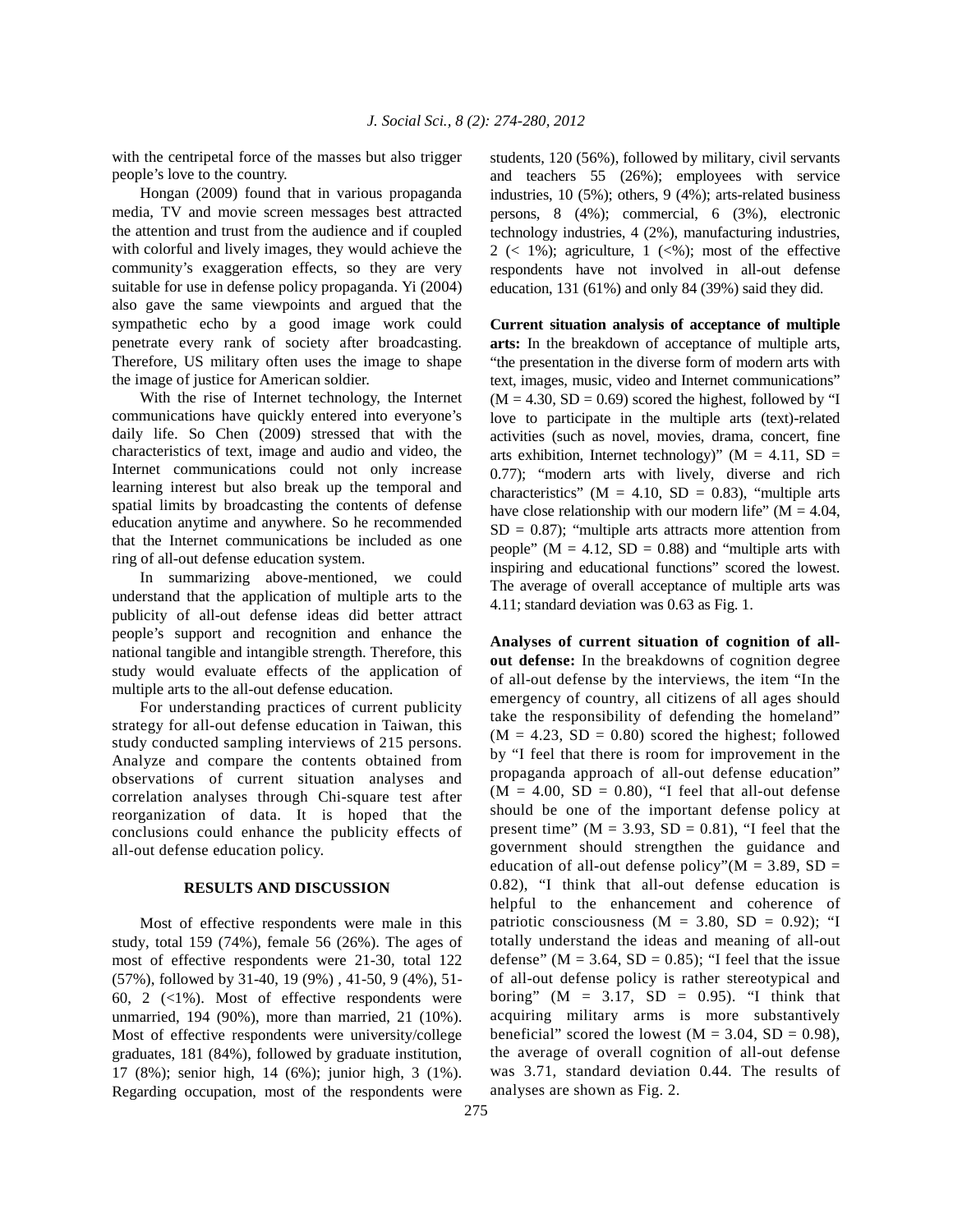with the centripetal force of the masses but also trigger people's love to the country.

 Hongan (2009) found that in various propaganda media, TV and movie screen messages best attracted the attention and trust from the audience and if coupled with colorful and lively images, they would achieve the community's exaggeration effects, so they are very suitable for use in defense policy propaganda. Yi (2004) also gave the same viewpoints and argued that the sympathetic echo by a good image work could penetrate every rank of society after broadcasting. Therefore, US military often uses the image to shape the image of justice for American soldier.

 With the rise of Internet technology, the Internet communications have quickly entered into everyone's daily life. So Chen (2009) stressed that with the characteristics of text, image and audio and video, the Internet communications could not only increase learning interest but also break up the temporal and spatial limits by broadcasting the contents of defense education anytime and anywhere. So he recommended that the Internet communications be included as one ring of all-out defense education system.

 In summarizing above-mentioned, we could understand that the application of multiple arts to the publicity of all-out defense ideas did better attract people's support and recognition and enhance the national tangible and intangible strength. Therefore, this study would evaluate effects of the application of multiple arts to the all-out defense education.

 For understanding practices of current publicity strategy for all-out defense education in Taiwan, this study conducted sampling interviews of 215 persons. Analyze and compare the contents obtained from observations of current situation analyses and correlation analyses through Chi-square test after reorganization of data. It is hoped that the conclusions could enhance the publicity effects of all-out defense education policy.

#### **RESULTS AND DISCUSSION**

 Most of effective respondents were male in this study, total 159 (74%), female 56 (26%). The ages of most of effective respondents were 21-30, total 122 (57%), followed by 31-40, 19 (9%) , 41-50, 9 (4%), 51- 60, 2  $\langle 1\% \rangle$ . Most of effective respondents were unmarried, 194 (90%), more than married, 21 (10%). Most of effective respondents were university/college graduates, 181 (84%), followed by graduate institution, 17 (8%); senior high, 14 (6%); junior high, 3 (1%). Regarding occupation, most of the respondents were students, 120 (56%), followed by military, civil servants and teachers 55 (26%); employees with service industries, 10 (5%); others, 9 (4%); arts-related business persons, 8 (4%); commercial, 6 (3%), electronic technology industries, 4 (2%), manufacturing industries,  $2 \leq 1\%$ ; agriculture,  $1 \leq 0$ ; most of the effective respondents have not involved in all-out defense education, 131 (61%) and only 84 (39%) said they did.

**Current situation analysis of acceptance of multiple arts:** In the breakdown of acceptance of multiple arts, "the presentation in the diverse form of modern arts with text, images, music, video and Internet communications"  $(M = 4.30, SD = 0.69)$  scored the highest, followed by "I love to participate in the multiple arts (text)-related activities (such as novel, movies, drama, concert, fine arts exhibition, Internet technology)" ( $M = 4.11$ , SD = 0.77); "modern arts with lively, diverse and rich characteristics" ( $M = 4.10$ ,  $SD = 0.83$ ), "multiple arts have close relationship with our modern life" ( $M = 4.04$ ,  $SD = 0.87$ ; "multiple arts attracts more attention from people" ( $M = 4.12$ ,  $SD = 0.88$ ) and "multiple arts with inspiring and educational functions" scored the lowest. The average of overall acceptance of multiple arts was 4.11; standard deviation was 0.63 as Fig. 1.

**Analyses of current situation of cognition of allout defense:** In the breakdowns of cognition degree of all-out defense by the interviews, the item "In the emergency of country, all citizens of all ages should take the responsibility of defending the homeland"  $(M = 4.23, SD = 0.80)$  scored the highest; followed by "I feel that there is room for improvement in the propaganda approach of all-out defense education"  $(M = 4.00, SD = 0.80)$ , "I feel that all-out defense should be one of the important defense policy at present time" ( $M = 3.93$ ,  $SD = 0.81$ ), "I feel that the government should strengthen the guidance and education of all-out defense policy"( $M = 3.89$ , SD = 0.82), "I think that all-out defense education is helpful to the enhancement and coherence of patriotic consciousness ( $M = 3.80$ , SD = 0.92); "I totally understand the ideas and meaning of all-out defense" ( $M = 3.64$ ,  $SD = 0.85$ ); "I feel that the issue of all-out defense policy is rather stereotypical and boring" ( $M = 3.17$ ,  $SD = 0.95$ ). "I think that acquiring military arms is more substantively beneficial" scored the lowest ( $M = 3.04$ ,  $SD = 0.98$ ), the average of overall cognition of all-out defense was 3.71, standard deviation 0.44. The results of analyses are shown as Fig. 2.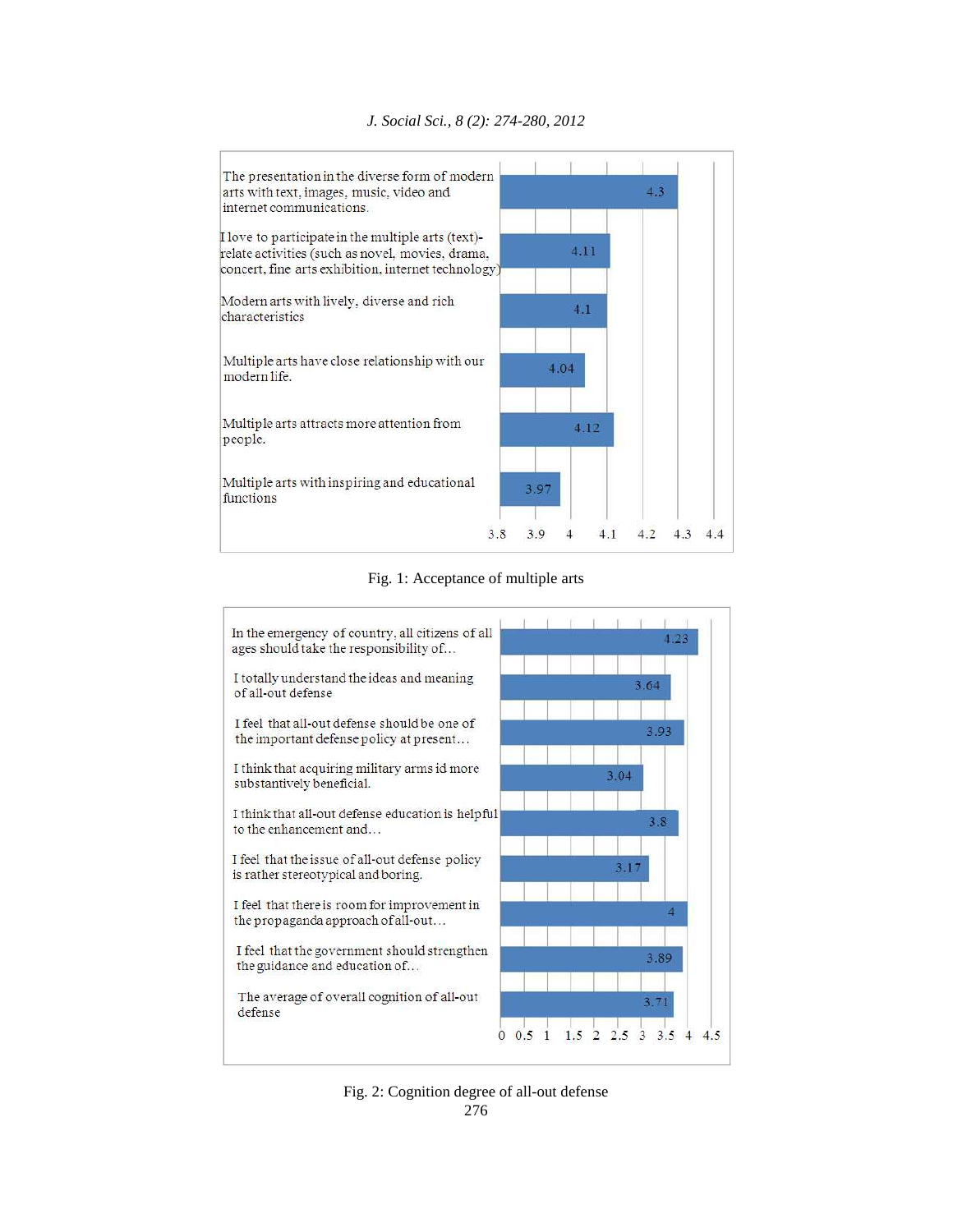

*J. Social Sci., 8 (2): 274-280, 2012* 

Fig. 1: Acceptance of multiple arts



276 Fig. 2: Cognition degree of all-out defense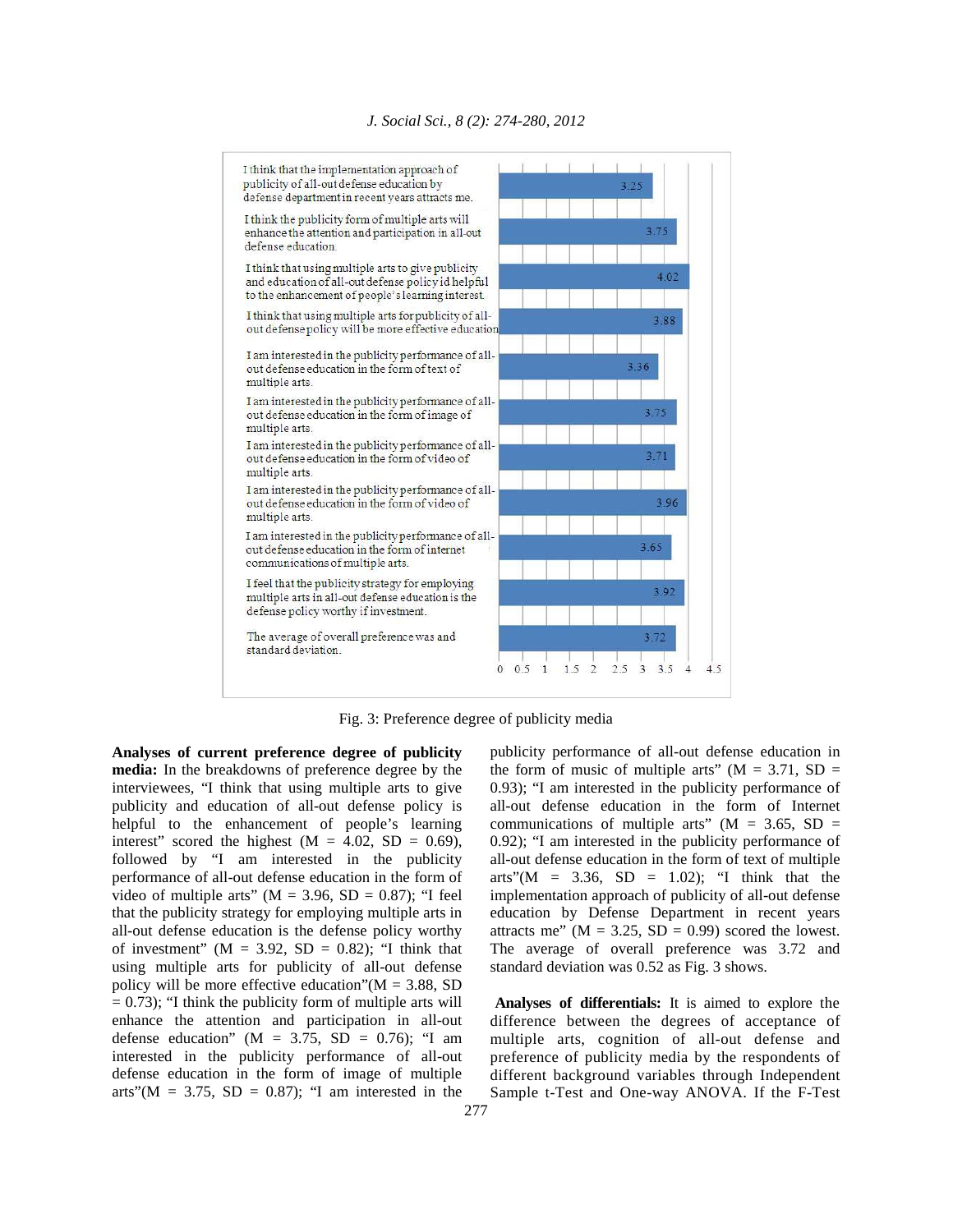

Fig. 3: Preference degree of publicity media

**Analyses of current preference degree of publicity media:** In the breakdowns of preference degree by the interviewees, "I think that using multiple arts to give publicity and education of all-out defense policy is helpful to the enhancement of people's learning interest" scored the highest  $(M = 4.02, SD = 0.69)$ , followed by "I am interested in the publicity performance of all-out defense education in the form of video of multiple arts" ( $M = 3.96$ ,  $SD = 0.87$ ); "I feel that the publicity strategy for employing multiple arts in all-out defense education is the defense policy worthy of investment" ( $M = 3.92$ ,  $SD = 0.82$ ); "I think that using multiple arts for publicity of all-out defense policy will be more effective education" $(M = 3.88, SD)$  $= 0.73$ ); "I think the publicity form of multiple arts will enhance the attention and participation in all-out defense education" ( $M = 3.75$ , SD = 0.76); "I am interested in the publicity performance of all-out defense education in the form of image of multiple arts"( $M = 3.75$ ,  $SD = 0.87$ ); "I am interested in the

publicity performance of all-out defense education in the form of music of multiple arts" ( $M = 3.71$ , SD = 0.93); "I am interested in the publicity performance of all-out defense education in the form of Internet communications of multiple arts" ( $M = 3.65$ , SD = 0.92); "I am interested in the publicity performance of all-out defense education in the form of text of multiple arts"( $M = 3.36$ ,  $SD = 1.02$ ); "I think that the implementation approach of publicity of all-out defense education by Defense Department in recent years attracts me" ( $M = 3.25$ ,  $SD = 0.99$ ) scored the lowest. The average of overall preference was 3.72 and standard deviation was 0.52 as Fig. 3 shows.

 **Analyses of differentials:** It is aimed to explore the difference between the degrees of acceptance of multiple arts, cognition of all-out defense and preference of publicity media by the respondents of different background variables through Independent Sample t-Test and One-way ANOVA. If the F-Test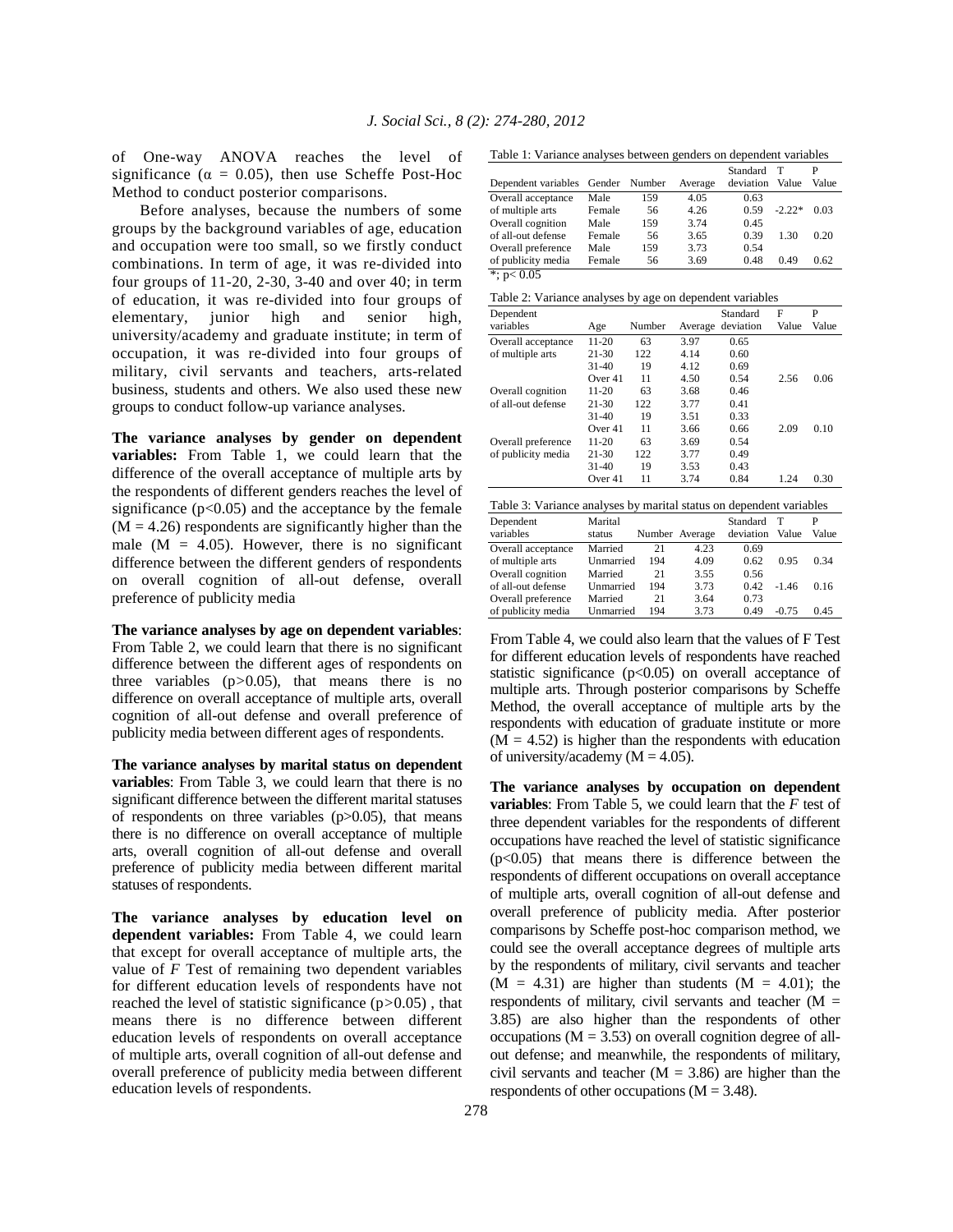of One-way ANOVA reaches the level of significance ( $\alpha = 0.05$ ), then use Scheffe Post-Hoc Method to conduct posterior comparisons.

 Before analyses, because the numbers of some groups by the background variables of age, education and occupation were too small, so we firstly conduct combinations. In term of age, it was re-divided into four groups of 11-20, 2-30, 3-40 and over 40; in term of education, it was re-divided into four groups of elementary, junior high and senior high, university/academy and graduate institute; in term of occupation, it was re-divided into four groups of military, civil servants and teachers, arts-related business, students and others. We also used these new groups to conduct follow-up variance analyses.

**The variance analyses by gender on dependent variables:** From Table 1, we could learn that the difference of the overall acceptance of multiple arts by the respondents of different genders reaches the level of significance  $(p<0.05)$  and the acceptance by the female  $(M = 4.26)$  respondents are significantly higher than the male  $(M = 4.05)$ . However, there is no significant difference between the different genders of respondents on overall cognition of all-out defense, overall preference of publicity media

**The variance analyses by age on dependent variables**: From Table 2, we could learn that there is no significant difference between the different ages of respondents on three variables (p*>*0.05), that means there is no difference on overall acceptance of multiple arts, overall cognition of all-out defense and overall preference of publicity media between different ages of respondents.

**The variance analyses by marital status on dependent variables**: From Table 3, we could learn that there is no significant difference between the different marital statuses of respondents on three variables  $(p>0.05)$ , that means there is no difference on overall acceptance of multiple arts, overall cognition of all-out defense and overall preference of publicity media between different marital statuses of respondents.

**The variance analyses by education level on dependent variables:** From Table 4, we could learn that except for overall acceptance of multiple arts, the value of *F* Test of remaining two dependent variables for different education levels of respondents have not reached the level of statistic significance (p*>*0.05) , that means there is no difference between different education levels of respondents on overall acceptance of multiple arts, overall cognition of all-out defense and overall preference of publicity media between different education levels of respondents.

Table 1: Variance analyses between genders on dependent variables

| THUIS II THINGIS MINITOU USEN SOLIIELII KUINGIU UIL GOPOINGOILI THINGIOU |        |               |         |                       |            |            |
|--------------------------------------------------------------------------|--------|---------------|---------|-----------------------|------------|------------|
| Dependent variables                                                      |        | Gender Number | Average | Standard<br>deviation | т<br>Value | P<br>Value |
| Overall acceptance                                                       | Male   | 159           | 4.05    | 0.63                  |            |            |
| of multiple arts                                                         | Female | 56            | 4.26    | 0.59                  | $-2.22*$   | 0.03       |
| Overall cognition                                                        | Male   | 159           | 3.74    | 0.45                  |            |            |
| of all-out defense                                                       | Female | 56            | 3.65    | 0.39                  | 1.30       | 0.20       |
| Overall preference                                                       | Male   | 159           | 3.73    | 0.54                  |            |            |
| of publicity media                                                       | Female | 56            | 3.69    | 0.48                  | 0.49       | 0.62       |
| *; $p < 0.05$                                                            |        |               |         |                       |            |            |

| Table 2: Variance analyses by age on dependent variables |  |  |  |  |
|----------------------------------------------------------|--|--|--|--|
|                                                          |  |  |  |  |

| Dependent          |           |        |         | Standard  | F     | P     |
|--------------------|-----------|--------|---------|-----------|-------|-------|
| variables          | Age       | Number | Average | deviation | Value | Value |
| Overall acceptance | $11 - 20$ | 63     | 3.97    | 0.65      |       |       |
| of multiple arts   | $21 - 30$ | 122    | 4.14    | 0.60      |       |       |
|                    | $31 - 40$ | 19     | 4.12    | 0.69      |       |       |
|                    | Over 41   | 11     | 4.50    | 0.54      | 2.56  | 0.06  |
| Overall cognition  | $11 - 20$ | 63     | 3.68    | 0.46      |       |       |
| of all-out defense | $21 - 30$ | 122    | 3.77    | 0.41      |       |       |
|                    | $31 - 40$ | 19     | 3.51    | 0.33      |       |       |
|                    | Over $41$ | 11     | 3.66    | 0.66      | 2.09  | 0.10  |
| Overall preference | $11 - 20$ | 63     | 3.69    | 0.54      |       |       |
| of publicity media | $21 - 30$ | 122    | 3.77    | 0.49      |       |       |
|                    | $31 - 40$ | 19     | 3.53    | 0.43      |       |       |
|                    | Over 41   | 11     | 3.74    | 0.84      | 1.24  | 0.30  |

| Table 3: Variance analyses by marital status on dependent variables |                   |                                           |                        |                   |            |  |  |  |
|---------------------------------------------------------------------|-------------------|-------------------------------------------|------------------------|-------------------|------------|--|--|--|
| Marital                                                             |                   |                                           | Standard               | т                 | P<br>Value |  |  |  |
|                                                                     |                   |                                           |                        |                   |            |  |  |  |
|                                                                     | 194               | 4.09                                      | 0.62                   | 0.95              | 0.34       |  |  |  |
| Married                                                             | 21                | 3.55                                      | 0.56                   |                   |            |  |  |  |
|                                                                     | 194               | 3.73                                      | 0.42                   | $-1.46$           | 0.16       |  |  |  |
| Married                                                             | 21                | 3.64                                      | 0.73                   |                   |            |  |  |  |
|                                                                     | 194               | 3.73                                      | 0.49                   | $-0.75$           | 0.45       |  |  |  |
|                                                                     | status<br>Married | 21<br>Unmarried<br>Unmarried<br>Unmarried | Number Average<br>4.23 | deviation<br>0.69 | Value      |  |  |  |

From Table 4, we could also learn that the values of F Test for different education levels of respondents have reached statistic significance  $(p<0.05)$  on overall acceptance of multiple arts. Through posterior comparisons by Scheffe Method, the overall acceptance of multiple arts by the respondents with education of graduate institute or more  $(M = 4.52)$  is higher than the respondents with education of university/academy  $(M = 4.05)$ .

**The variance analyses by occupation on dependent variables**: From Table 5, we could learn that the *F* test of three dependent variables for the respondents of different occupations have reached the level of statistic significance  $(p<0.05)$  that means there is difference between the respondents of different occupations on overall acceptance of multiple arts, overall cognition of all-out defense and overall preference of publicity media. After posterior comparisons by Scheffe post-hoc comparison method, we could see the overall acceptance degrees of multiple arts by the respondents of military, civil servants and teacher  $(M = 4.31)$  are higher than students  $(M = 4.01)$ ; the respondents of military, civil servants and teacher  $(M =$ 3.85) are also higher than the respondents of other occupations ( $M = 3.53$ ) on overall cognition degree of allout defense; and meanwhile, the respondents of military, civil servants and teacher  $(M = 3.86)$  are higher than the respondents of other occupations  $(M = 3.48)$ .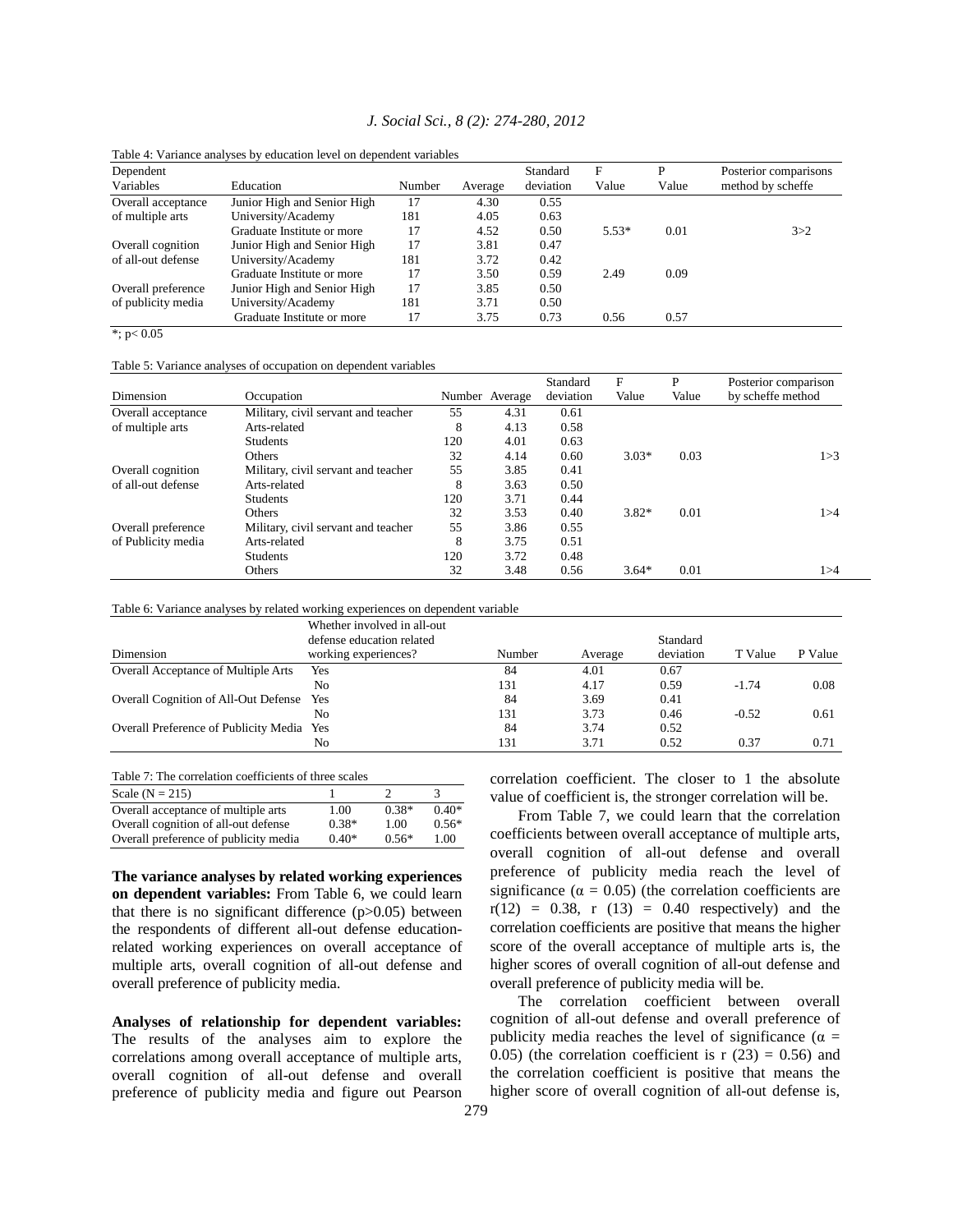|  |  |  |  |  | J. Social Sci., 8 (2): 274-280, 2012 |  |
|--|--|--|--|--|--------------------------------------|--|
|--|--|--|--|--|--------------------------------------|--|

| Dependent          |                             |        |         | Standard  | F       | D     | Posterior comparisons |
|--------------------|-----------------------------|--------|---------|-----------|---------|-------|-----------------------|
| Variables          | Education                   | Number | Average | deviation | Value   | Value | method by scheffe     |
| Overall acceptance | Junior High and Senior High | 17     | 4.30    | 0.55      |         |       |                       |
| of multiple arts   | University/Academy          | 181    | 4.05    | 0.63      |         |       |                       |
|                    | Graduate Institute or more  | 17     | 4.52    | 0.50      | $5.53*$ | 0.01  | 3 > 2                 |
| Overall cognition  | Junior High and Senior High | 17     | 3.81    | 0.47      |         |       |                       |
| of all-out defense | University/Academy          | 181    | 3.72    | 0.42      |         |       |                       |
|                    | Graduate Institute or more  | 17     | 3.50    | 0.59      | 2.49    | 0.09  |                       |
| Overall preference | Junior High and Senior High | 17     | 3.85    | 0.50      |         |       |                       |
| of publicity media | University/Academy          | 181    | 3.71    | 0.50      |         |       |                       |
|                    | Graduate Institute or more  | 17     | 3.75    | 0.73      | 0.56    | 0.57  |                       |

Table 4: Variance analyses by education level on dependent variables

 $*$ ; p< 0.05

Table 5: Variance analyses of occupation on dependent variables

|                    |                                     |     |                | Standard  | F       | P     | Posterior comparison |
|--------------------|-------------------------------------|-----|----------------|-----------|---------|-------|----------------------|
| Dimension          | Occupation                          |     | Number Average | deviation | Value   | Value | by scheffe method    |
| Overall acceptance | Military, civil servant and teacher | 55  | 4.31           | 0.61      |         |       |                      |
| of multiple arts   | Arts-related                        | 8   | 4.13           | 0.58      |         |       |                      |
|                    | <b>Students</b>                     | 120 | 4.01           | 0.63      |         |       |                      |
|                    | Others                              | 32  | 4.14           | 0.60      | $3.03*$ | 0.03  | 1 > 3                |
| Overall cognition  | Military, civil servant and teacher | 55  | 3.85           | 0.41      |         |       |                      |
| of all-out defense | Arts-related                        | 8   | 3.63           | 0.50      |         |       |                      |
|                    | <b>Students</b>                     | 120 | 3.71           | 0.44      |         |       |                      |
|                    | <b>Others</b>                       | 32  | 3.53           | 0.40      | $3.82*$ | 0.01  | 1>4                  |
| Overall preference | Military, civil servant and teacher | 55  | 3.86           | 0.55      |         |       |                      |
| of Publicity media | Arts-related                        | 8   | 3.75           | 0.51      |         |       |                      |
|                    | <b>Students</b>                     | 120 | 3.72           | 0.48      |         |       |                      |
|                    | Others                              | 32  | 3.48           | 0.56      | $3.64*$ | 0.01  | 1>4                  |

Table 6: Variance analyses by related working experiences on dependent variable

| Dimension                                  | Whether involved in all-out<br>defense education related<br>working experiences? | Number | Average | Standard<br>deviation | T Value | P Value |
|--------------------------------------------|----------------------------------------------------------------------------------|--------|---------|-----------------------|---------|---------|
| <b>Overall Acceptance of Multiple Arts</b> | Yes                                                                              | 84     | 4.01    | 0.67                  |         |         |
|                                            | Nο                                                                               | 131    | 4.17    | 0.59                  | $-1.74$ | 0.08    |
| Overall Cognition of All-Out Defense Yes   |                                                                                  | 84     | 3.69    | 0.41                  |         |         |
|                                            | Nο                                                                               | 131    | 3.73    | 0.46                  | $-0.52$ | 0.61    |
| Overall Preference of Publicity Media Yes  |                                                                                  | 84     | 3.74    | 0.52                  |         |         |
|                                            | No                                                                               | 131    | 3.71    | 0.52                  | 0.37    | 0.71    |

| Scale $(N = 215)$                     |         |         |         |
|---------------------------------------|---------|---------|---------|
| Overall acceptance of multiple arts   | 1.00    | $0.38*$ | $0.40*$ |
| Overall cognition of all-out defense  | $0.38*$ | 1.00    | $0.56*$ |
| Overall preference of publicity media | $0.40*$ | $0.56*$ | 1.00    |

**The variance analyses by related working experiences on dependent variables:** From Table 6, we could learn that there is no significant difference  $(p>0.05)$  between the respondents of different all-out defense educationrelated working experiences on overall acceptance of multiple arts, overall cognition of all-out defense and overall preference of publicity media.

**Analyses of relationship for dependent variables:**  The results of the analyses aim to explore the correlations among overall acceptance of multiple arts, overall cognition of all-out defense and overall preference of publicity media and figure out Pearson correlation coefficient. The closer to 1 the absolute value of coefficient is, the stronger correlation will be.

 From Table 7, we could learn that the correlation coefficients between overall acceptance of multiple arts, overall cognition of all-out defense and overall preference of publicity media reach the level of significance ( $\alpha = 0.05$ ) (the correlation coefficients are  $r(12) = 0.38$ , r  $(13) = 0.40$  respectively) and the correlation coefficients are positive that means the higher score of the overall acceptance of multiple arts is, the higher scores of overall cognition of all-out defense and overall preference of publicity media will be.

 The correlation coefficient between overall cognition of all-out defense and overall preference of publicity media reaches the level of significance ( $\alpha$  = 0.05) (the correlation coefficient is  $r(23) = 0.56$ ) and the correlation coefficient is positive that means the higher score of overall cognition of all-out defense is,